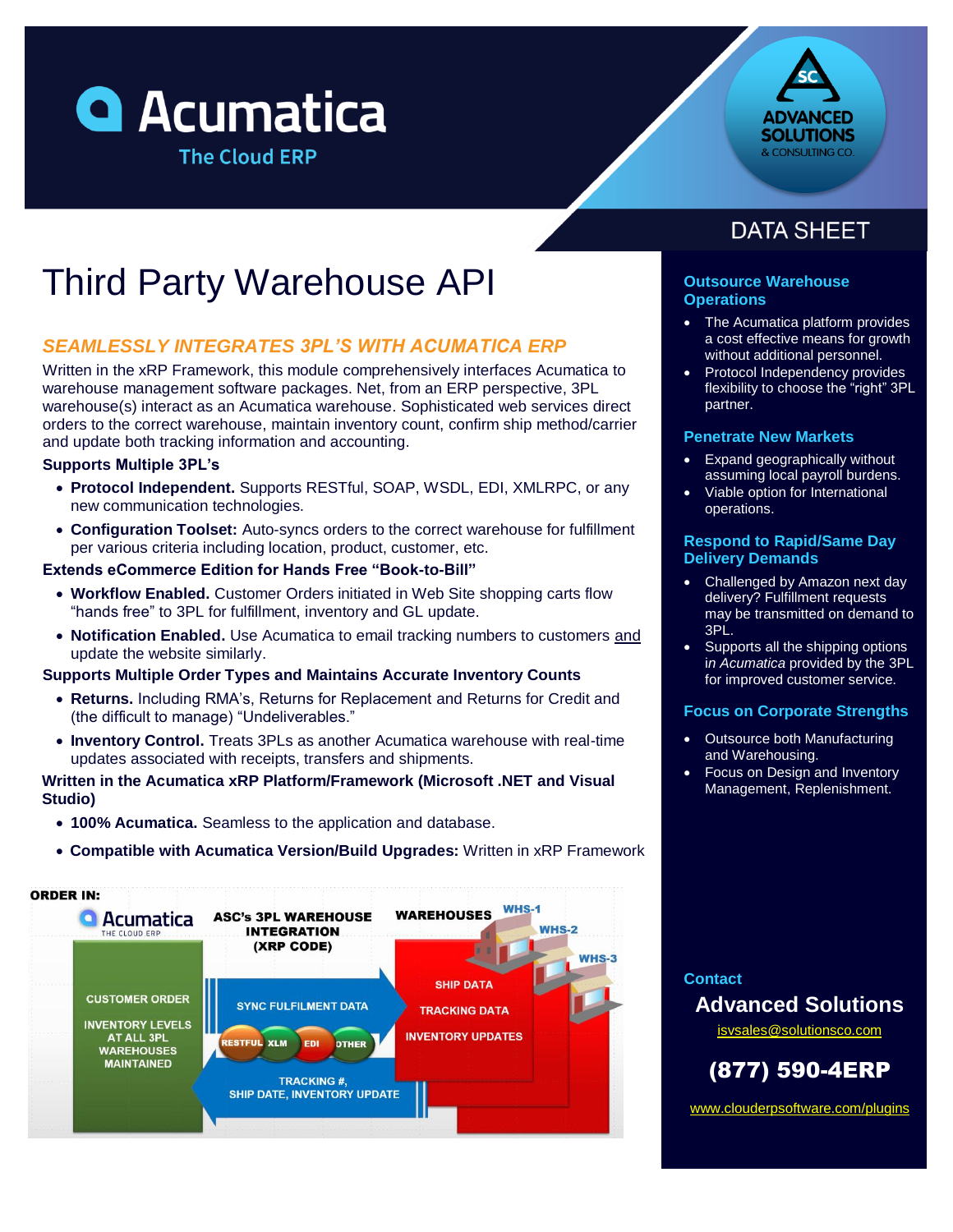



# Third Party Warehouse API

### *SEAMLESSLY INTEGRATES 3PL'S WITH ACUMATICA ERP*

Written in the xRP Framework, this module comprehensively interfaces Acumatica to warehouse management software packages. Net, from an ERP perspective, 3PL warehouse(s) interact as an Acumatica warehouse. Sophisticated web services direct orders to the correct warehouse, maintain inventory count, confirm ship method/carrier and update both tracking information and accounting.

#### **Supports Multiple 3PL's**

- **Protocol Independent.** Supports RESTful, SOAP, WSDL, EDI, XMLRPC, or any new communication technologies.
- **Configuration Toolset:** Auto-syncs orders to the correct warehouse for fulfillment per various criteria including location, product, customer, etc.

### **Extends eCommerce Edition for Hands Free "Book-to-Bill"**

- **Workflow Enabled.** Customer Orders initiated in Web Site shopping carts flow "hands free" to 3PL for fulfillment, inventory and GL update.
- **Notification Enabled.** Use Acumatica to email tracking numbers to customers and update the website similarly.

#### **Supports Multiple Order Types and Maintains Accurate Inventory Counts**

- **Returns.** Including RMA's, Returns for Replacement and Returns for Credit and (the difficult to manage) "Undeliverables."
- **Inventory Control.** Treats 3PLs as another Acumatica warehouse with real-time updates associated with receipts, transfers and shipments.

### **Written in the Acumatica xRP Platform/Framework (Microsoft .NET and Visual Studio)**

- **100% Acumatica.** Seamless to the application and database.
- **Compatible with Acumatica Version/Build Upgrades:** Written in xRP Framework



# **DATA SHEET**

### **Outsource Warehouse Operations**

- The Acumatica platform provides a cost effective means for growth without additional personnel.
- Protocol Independency provides flexibility to choose the "right" 3PL partner.

#### **Penetrate New Markets**

- Expand geographically without assuming local payroll burdens.
- Viable option for International operations.

### **Respond to Rapid/Same Day Delivery Demands**

- Challenged by Amazon next day delivery? Fulfillment requests may be transmitted on demand to 3PL.
- Supports all the shipping options i*n Acumatica* provided by the 3PL for improved customer service.

### **Focus on Corporate Strengths**

- Outsource both Manufacturing and Warehousing.
- Focus on Design and Inventory Management, Replenishment.

### **Contact**

### **Advanced Solutions**

[isvsales@solutionsco.com](mailto:isvsales@solutionsco.com)

## (877) 590-4ERP

[www.clouderpsoftware.com/plugins](http://www.clouderpsoftware.com/plugins)